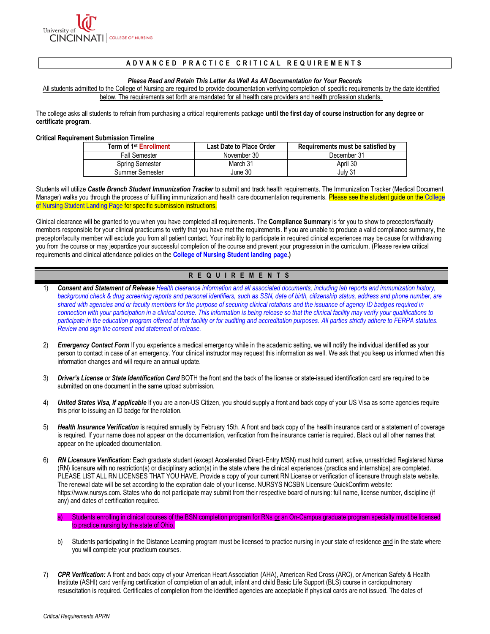

# A D V A N C E D P R A C T I C E C R I T I C A L R E Q U I R E M E N T S

#### *Please Read and Retain This Letter As Well As All Documentation for Your Records*

 All students admitted to the College of Nursing are required to provide documentation verifying completion of specific requirements by the date identified below. The requirements set forth are mandated for all health care providers and health profession students.

 The college asks all students to refrain from purchasing a critical requirements package **until the first day of course instruction for any degree or certificate program**.

#### **Critical Requirement Submission Timeline**

| Term of 1 <sup>st</sup> Enrollment | <b>Last Date to Place Order</b> | Requirements must be satisfied by |
|------------------------------------|---------------------------------|-----------------------------------|
| <b>Fall Semester</b>               | November 30                     | December 31                       |
| Spring Semester                    | March 31                        | April 30                          |
| Summer Semester                    | June 30                         | Julv 31                           |

 Students will utilize *Castle Branch Student Immunization Tracker* to submit and track health requirements. The Immunization Tracker (Medical Document Manager) walks you through the process of fulfilling immunization and health care documentation requirements. Please see the student guide on the College of Nursing Student Landing Page for specific submission instructions.

 Clinical clearance will be granted to you when you have completed all requirements. The **Compliance Summary** is for you to show to preceptors/faculty members responsible for your clinical practicums to verify that you have met the requirements. If you are unable to produce a valid compliance summary, the preceptor/faculty member will exclude you from all patient contact. Your inability to participate in required clinical experiences may be cause for withdrawing you from the course or may jeopardize your successful completion of the course and prevent your progression in the curriculum. (Please review critical requirements and clinical attendance policies on the **[College of Nursing Student landing page.](https://nursing.uc.edu/admissions-financial-aid/admitted-students/graduate/critical-requirements.html))** 

# **R E Q U I R E M E N T S**

- 1) **Consent and Statement of Release** *Health clearance information and all associated documents, including lab reports and immunization history,* background check & drug screening reports and personal identifiers, such as SSN, date of birth, citizenship status, address and phone number, are  *shared with agencies and or faculty members for the purpose of securing clinical rotations and the issuance of agency ID badg es required in connection with your participation in a clinical course. This information is being release so that the clinical facility may verify your qualifications to*  participate in the education program offered at that facility or for auditing and accreditation purposes. All parties strictly adhere to FERPA statutes.  *Review and sign the consent and statement of release.*
- 2) **Emergency Contact Form** If you experience a medical emergency while in the academic setting, we will notify the individual identified as your person to contact in case of an emergency. Your clinical instructor may request this information as well. We ask that you keep us informed when this information changes and will require an annual update.
- 3) *Driver's License or State Identification Card* BOTH the front and the back of the license or state-issued identification card are required to be submitted on one document in the same upload submission.
- 4) *United States Visa, if applicable* If you are a non-US Citizen, you should supply a front and back copy of your US Visa as some agencies require this prior to issuing an ID badge for the rotation.
- 5) *Health Insurance Verification* is required annually by February 15th. A front and back copy of the health insurance card or a statement of coverage is required. If your name does not appear on the documentation, verification from the insurance carrier is required. Black out all other names that appear on the uploaded documentation.
- 6) *RN Licensure Verification:* Each graduate student (except Accelerated Direct-Entry MSN) must hold current, active, unrestricted Registered Nurse (RN) licensure with no restriction(s) or disciplinary action(s) in the state where the clinical experiences (practica and internships) are completed. PLEASE LIST ALL RN LICENSES THAT YOU HAVE. Provide a copy of your current RN License or verification of licensure through state website. The renewal date will be set according to the expiration date of your license. NURSYS NCSBN Licensure QuickConfirm website: https://www.nursys.com. States who do not participate may submit from their respective board of nursing: full name, license number, discipline (if any) and dates of certification required.
	- a) Students enrolling in clinical courses of the BSN completion program for RNs or an On-Campus graduate program specialty must be licensed to practice nursing by the state of Ohio.
	- b) Students participating in the Distance Learning program must be licensed to practice nursing in your state of residence and in the state where you will complete your practicum courses.
- 7) *CPR Verification:* A front and back copy of your American Heart Association (AHA), American Red Cross (ARC), or American Safety & Health Institute (ASHI) card verifying certification of completion of an adult, infant and child Basic Life Support (BLS) course in cardiopulmonary resuscitation is required. Certificates of completion from the identified agencies are acceptable if physical cards are not issued. The dates of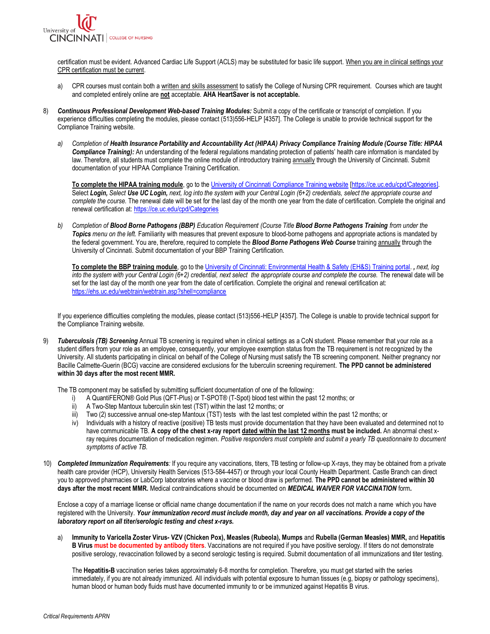

certification must be evident. Advanced Cardiac Life Support (ACLS) may be substituted for basic life support. When you are in clinical settings your CPR certification must be current.

- a) CPR courses must contain both a written and skills assessment to satisfy the College of Nursing CPR requirement. Courses which are taught and completed entirely online are **not** acceptable. **AHA HeartSaver is not acceptable.**
- 8) **Continuous Professional Development Web-based Training Modules: Submit a copy of the certificate or transcript of completion. If you**  experience difficulties completing the modules, please contact (513)556-HELP [4357]. The College is unable to provide technical support for the Compliance Training website.
	- *a) Completion of Health Insurance Portability and Accountability Act (HIPAA) Privacy Compliance Training Module (Course Title: HIPAA Compliance Training):* An understanding of the federal regulations mandating protection of patients' health care information is mandated by law. Therefore, all students must complete the online module of introductory training annually through the University of Cincinnati. Submit documentation of your HIPAA Compliance Training Certification.

 **To complete the HIPAA training module**, go to the [University of Cincinnati Compliance Training website \[https://ce.uc.edu/cpd/Categories\].](https://ce.uc.edu/cpd/Categories)  Select *Login, Select Use UC Login, next, log into the system with your Central Login (6+2) credentials, select the appropriate course and complete the course.* The renewal date will be set for the last day of the month one year from the date of certification. Complete the original and renewal certification at: https://ce.uc.edu/cpd/Categories

 *b) Completion of Blood Borne Pathogens (BBP) Education Requirement (Course Title Blood Borne Pathogens Training from under the*  Topics menu on the left. Familiarity with measures that prevent exposure to blood-borne pathogens and appropriate actions is mandated by the federal government. You are, therefore, required to complete the *Blood Borne Pathogens Web Course* training annually through the University of Cincinnati. Submit documentation of your BBP Training Certification.

 **To complete the BBP training module**, go to th[e University of Cincinnati: Environmental Health & Safety \(EH&S\) Training portal.](https://ehs.uc.edu/webtrain/webtrain.asp?shell=compliance) *, next, log into the system with your Central Login (6+2) credential, next select the appropriate course and complete the course.* The renewal date will be set for the last day of the month one year from the date of certification. Complete the original and renewal certification at: <https://ehs.uc.edu/webtrain/webtrain.asp?shell=compliance>

 If you experience difficulties completing the modules, please contact (513)556-HELP [4357]. The College is unable to provide technical support for the Compliance Training website.

9) **Tuberculosis (TB) Screening** Annual TB screening is required when in clinical settings as a CoN student. Please remember that your role as a student differs from your role as an employee, consequently, your employee exemption status from the TB requirement is not recognized by the University. All students participating in clinical on behalf of the College of Nursing must satisfy the TB screening component. Neither pregnancy nor Bacille Calmette-Guerin (BCG) vaccine are considered exclusions for the tuberculin screening requirement. **The PPD cannot be administered within 30 days after the most recent MMR.** 

The TB component may be satisfied by submitting sufficient documentation of one of the following:

- i) A QuantiFERON® Gold Plus (QFT-Plus) or T-SPOT® (T-Spot) blood test within the past 12 months; or
- ii) A Two-Step Mantoux tuberculin skin test (TST) within the last 12 months; or
- iii) Two (2) successive annual one-step Mantoux (TST) tests with the last test completed within the past 12 months; or
- iv) Individuals with a history of reactive (positive) TB tests must provide documentation that they have been evaluated and determined not to  have communicable TB. **A copy of the chest x-ray report dated within the last 12 months must be included.** An abnormal chest x- ray requires documentation of medication regimen. *Positive responders must complete and submit a yearly TB questionnaire to document symptoms of active TB.*
- 10) *Completed Immunization Requirements:* If you require any vaccinations, titers, TB testing or follow-up X-rays, they may be obtained from a private health care provider (HCP), University Health Services (513-584-4457) or through your local County Health Department. Castle Branch can direct you to approved pharmacies or LabCorp laboratories where a vaccine or blood draw is performed. **The PPD cannot be administered within 30 days after the most recent MMR.** Medical contraindications should be documented on *MEDICAL WAIVER FOR VACCINATION* form*.*

 Enclose a copy of a marriage license or official name change documentation if the name on your records does not match a name which you have registered with the University. *Your immunization record must include month, day and year on all vaccinations. Provide a copy of the laboratory report on all titer/serologic testing and chest x-rays***.** 

 a) **Immunity to Varicella Zoster Virus- VZV (Chicken Pox), Measles (Rubeola), Mumps** and **Rubella (German Measles) MMR,** and **Hepatitis B Virus must be documented by antibody titers**. Vaccinations are not required if you have positive serology. If titers do not demonstrate positive serology, revaccination followed by a second serologic testing is required. Submit documentation of all immunizations and titer testing.

 The **Hepatitis-B** vaccination series takes approximately 6-8 months for completion. Therefore, you must get started with the series immediately, if you are not already immunized. All individuals with potential exposure to human tissues (e.g, biopsy or pathology specimens), human blood or human body fluids must have documented immunity to or be immunized against Hepatitis B virus.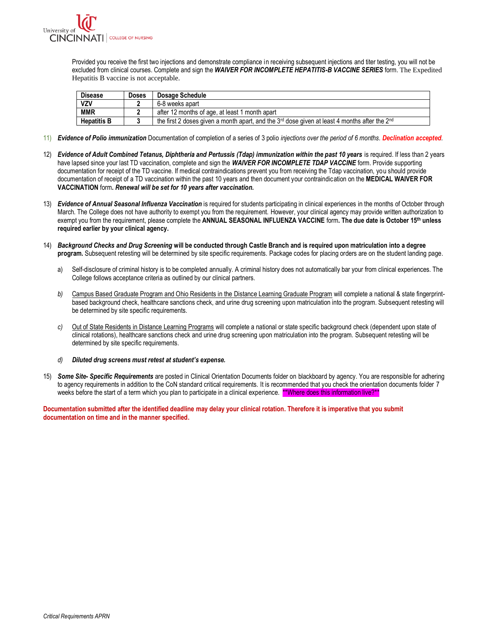

 Provided you receive the first two injections and demonstrate compliance in receiving subsequent injections and titer testing, you will not be excluded from clinical courses. Complete and sign the *WAIVER FOR INCOMPLETE HEPATITIS-B VACCINE SERIES* form. The Expedited Hepatitis B vaccine is not acceptable.

| <b>Disease</b>     | <b>Doses</b> | Dosage Schedule                                                                                             |
|--------------------|--------------|-------------------------------------------------------------------------------------------------------------|
| <b>VZV</b>         |              | 6-8 weeks apart                                                                                             |
| <b>MMR</b>         |              | after 12 months of age, at least 1 month apart                                                              |
| <b>Hepatitis B</b> |              | the first 2 doses given a month apart, and the $3rd$ dose given at least 4 months after the 2 <sup>nd</sup> |
|                    |              |                                                                                                             |

- 11) *Evidence of Polio immunization* Documentation of completion of a series of 3 polio *injections over the period of 6 months. Declination accepted.*
- 12) *Evidence of Adult Combined Tetanus, Diphtheria and Pertussis (Tdap) immunization within the past 10 years* is required. If less than 2 years have lapsed since your last TD vaccination, complete and sign the *WAIVER FOR INCOMPLETE TDAP VACCINE* form. Provide supporting documentation for receipt of the TD vaccine. If medical contraindications prevent you from receiving the Tdap vaccination, you should provide documentation of receipt of a TD vaccination within the past 10 years and then document your contraindication on the **MEDICAL WAIVER FOR**   **VACCINATION** form**.** *Renewal will be set for 10 years after vaccination.*
- 13) *Evidence of Annual Seasonal Influenza Vaccination* is required for students participating in clinical experiences in the months of October through March. The College does not have authority to exempt you from the requirement. However, your clinical agency may provide written authorization to exempt you from the requirement, please complete the **ANNUAL SEASONAL INFLUENZA VACCINE** form**. The due date is October 15th unless required earlier by your clinical agency.**
- 14) *Background Checks and Drug Screening* **will be conducted through Castle Branch and is required upon matriculation into a degree program.** Subsequent retesting will be determined by site specific requirements. Package codes for placing orders are on the student landing page.
	- a) Self-disclosure of criminal history is to be completed annually. A criminal history does not automatically bar your from clinical experiences. The College follows acceptance criteria as outlined by our clinical partners.
	- *b)* Campus Based Graduate Program and Ohio Residents in the Distance Learning Graduate Program will complete a national & state fingerprint- based background check, healthcare sanctions check, and urine drug screening upon matriculation into the program. Subsequent retesting will be determined by site specific requirements.
	- *c)* Out of State Residents in Distance Learning Programs will complete a national or state specific background check (dependent upon state of clinical rotations), healthcare sanctions check and urine drug screening upon matriculation into the program. Subsequent retesting will be determined by site specific requirements.
	- *d) Diluted drug screens must retest at student's expense.*
- 15) *Some Site- Specific Requirements* are posted in Clinical Orientation Documents folder on blackboard by agency. You are responsible for adhering to agency requirements in addition to the CoN standard critical requirements. It is recommended that you check the orientation documents folder 7 weeks before the start of a term which you plan to participate in a clinical experience. \*\*Where does this information live?\*\*

 **Documentation submitted after the identified deadline may delay your clinical rotation. Therefore it is imperative that you submit documentation on time and in the manner specified.**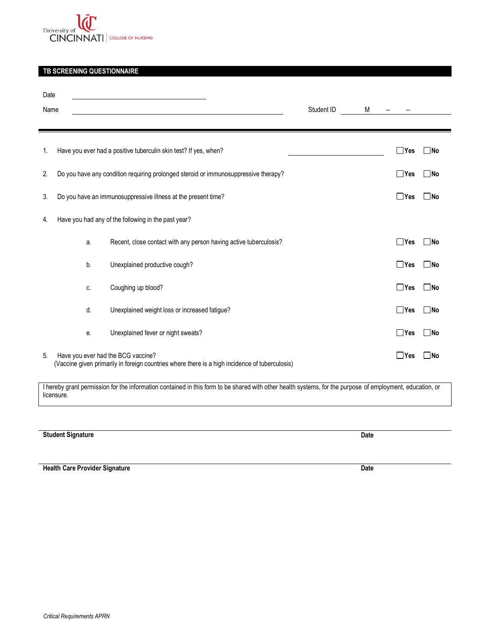

# **TB SCREENING QUESTIONNAIRE**

| Date<br>Name |    |                                                                                                                                      | Student ID | M |              |              |
|--------------|----|--------------------------------------------------------------------------------------------------------------------------------------|------------|---|--------------|--------------|
| 1.           |    | Have you ever had a positive tuberculin skin test? If yes, when?                                                                     |            |   | $\Box$ Yes   | $\square$ No |
| 2.           |    | Do you have any condition requiring prolonged steroid or immunosuppressive therapy?                                                  |            |   | $\Box$ Yes   | $\Box$ No    |
| 3.           |    | Do you have an immunosuppressive illness at the present time?                                                                        |            |   | $\Box$ Yes   | $\Box$ No    |
| 4.           |    | Have you had any of the following in the past year?                                                                                  |            |   |              |              |
|              | a. | Recent, close contact with any person having active tuberculosis?                                                                    |            |   | $\Box$ Yes   | ∐No          |
|              | b. | Unexplained productive cough?                                                                                                        |            |   | $\Box$ Yes   | $\square$ No |
|              | C. | Coughing up blood?                                                                                                                   |            |   | $\Box$ Yes   | $\square$ No |
|              | d. | Unexplained weight loss or increased fatigue?                                                                                        |            |   | $\Box$ Yes   | $\Box$ No    |
|              | e. | Unexplained fever or night sweats?                                                                                                   |            |   | $\Box$ Yes   | $\square$ No |
| 5.           |    | Have you ever had the BCG vaccine?<br>(Vaccine given primarily in foreign countries where there is a high incidence of tuberculosis) |            |   | $\sqcup$ Yes | lNo          |

 I hereby grant permission for the information contained in this form to be shared with other health systems, for the purpose of employment, education, or licensure.

**Student Signature** Date

 **Health Care Provider Signature Date**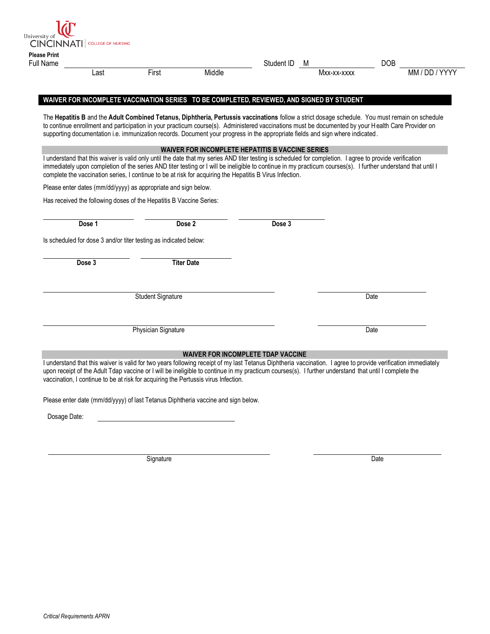|        |      |                                                                                                          |        | Student ID                                              | M                                                                                                                                                        | <b>DOB</b>                                                                                                                                                                                                                                                                                            |
|--------|------|----------------------------------------------------------------------------------------------------------|--------|---------------------------------------------------------|----------------------------------------------------------------------------------------------------------------------------------------------------------|-------------------------------------------------------------------------------------------------------------------------------------------------------------------------------------------------------------------------------------------------------------------------------------------------------|
|        | Last | First                                                                                                    | Middle |                                                         | Mxx-xx-xxxx                                                                                                                                              | MM / DD / YYYY                                                                                                                                                                                                                                                                                        |
|        |      |                                                                                                          |        |                                                         | WAIVER FOR INCOMPLETE VACCINATION SERIES TO BE COMPLETED, REVIEWED, AND SIGNED BY STUDENT                                                                |                                                                                                                                                                                                                                                                                                       |
|        |      |                                                                                                          |        |                                                         | supporting documentation i.e. immunization records. Document your progress in the appropriate fields and sign where indicated.                           | The Hepatitis B and the Adult Combined Tetanus, Diphtheria, Pertussis vaccinations follow a strict dosage schedule. You must remain on schedule<br>to continue enrollment and participation in your practicum course(s). Administered vaccinations must be documented by your Health Care Provider on |
|        |      |                                                                                                          |        | <b>WAIVER FOR INCOMPLETE HEPATITIS B VACCINE SERIES</b> |                                                                                                                                                          |                                                                                                                                                                                                                                                                                                       |
|        |      | complete the vaccination series, I continue to be at risk for acquiring the Hepatitis B Virus Infection. |        |                                                         | I understand that this waiver is valid only until the date that my series AND titer testing is scheduled for completion. I agree to provide verification | immediately upon completion of the series AND titer testing or I will be ineligible to continue in my practicum courses(s). I further understand that until I                                                                                                                                         |
|        |      | Please enter dates (mm/dd/yyyy) as appropriate and sign below.                                           |        |                                                         |                                                                                                                                                          |                                                                                                                                                                                                                                                                                                       |
|        |      | Has received the following doses of the Hepatitis B Vaccine Series:                                      |        |                                                         |                                                                                                                                                          |                                                                                                                                                                                                                                                                                                       |
|        |      |                                                                                                          |        |                                                         |                                                                                                                                                          |                                                                                                                                                                                                                                                                                                       |
| Dose 1 |      | Dose 2                                                                                                   |        | Dose 3                                                  |                                                                                                                                                          |                                                                                                                                                                                                                                                                                                       |
|        |      | Is scheduled for dose 3 and/or titer testing as indicated below:                                         |        |                                                         |                                                                                                                                                          |                                                                                                                                                                                                                                                                                                       |
|        |      | <b>Titer Date</b>                                                                                        |        |                                                         |                                                                                                                                                          |                                                                                                                                                                                                                                                                                                       |
| Dose 3 |      |                                                                                                          |        |                                                         |                                                                                                                                                          |                                                                                                                                                                                                                                                                                                       |
|        |      |                                                                                                          |        |                                                         |                                                                                                                                                          |                                                                                                                                                                                                                                                                                                       |
|        |      | <b>Student Signature</b>                                                                                 |        |                                                         |                                                                                                                                                          | Date                                                                                                                                                                                                                                                                                                  |
|        |      |                                                                                                          |        |                                                         |                                                                                                                                                          |                                                                                                                                                                                                                                                                                                       |
|        |      |                                                                                                          |        |                                                         |                                                                                                                                                          |                                                                                                                                                                                                                                                                                                       |
|        |      | Physician Signature                                                                                      |        |                                                         |                                                                                                                                                          | Date                                                                                                                                                                                                                                                                                                  |
|        |      |                                                                                                          |        | WAIVER FOR INCOMPLETE TDAP VACCINE                      |                                                                                                                                                          |                                                                                                                                                                                                                                                                                                       |

Signature Date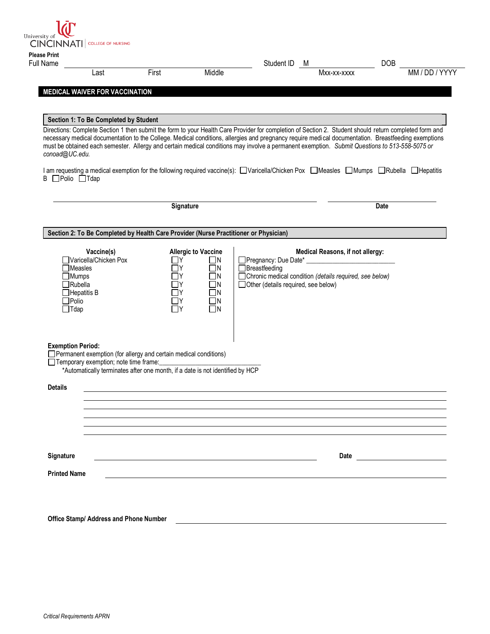| <b>Please Print</b><br><b>Full Name</b>     |                                                                                                |                                                                                                                                                     |                                                                                                          | Student ID                                             | M                                                                                             | <b>DOB</b>                                                                                                                                                                                                                                                                                                                                                                                                                                                     |
|---------------------------------------------|------------------------------------------------------------------------------------------------|-----------------------------------------------------------------------------------------------------------------------------------------------------|----------------------------------------------------------------------------------------------------------|--------------------------------------------------------|-----------------------------------------------------------------------------------------------|----------------------------------------------------------------------------------------------------------------------------------------------------------------------------------------------------------------------------------------------------------------------------------------------------------------------------------------------------------------------------------------------------------------------------------------------------------------|
|                                             | Last                                                                                           | First                                                                                                                                               | Middle                                                                                                   |                                                        | Mxx-xx-xxxx                                                                                   | MM / DD / YYYY                                                                                                                                                                                                                                                                                                                                                                                                                                                 |
|                                             | <b>MEDICAL WAIVER FOR VACCINATION</b>                                                          |                                                                                                                                                     |                                                                                                          |                                                        |                                                                                               |                                                                                                                                                                                                                                                                                                                                                                                                                                                                |
|                                             |                                                                                                |                                                                                                                                                     |                                                                                                          |                                                        |                                                                                               |                                                                                                                                                                                                                                                                                                                                                                                                                                                                |
|                                             | Section 1: To Be Completed by Student                                                          |                                                                                                                                                     |                                                                                                          |                                                        |                                                                                               |                                                                                                                                                                                                                                                                                                                                                                                                                                                                |
| conoad@UC.edu.                              |                                                                                                |                                                                                                                                                     |                                                                                                          |                                                        |                                                                                               | Directions: Complete Section 1 then submit the form to your Health Care Provider for completion of Section 2. Student should return completed form and<br>necessary medical documentation to the College. Medical conditions, allergies and pregnancy require medical documentation. Breastfeeding exemptions<br>must be obtained each semester. Allergy and certain medical conditions may involve a permanent exemption. Submit Questions to 513-558-5075 or |
| B □Polio □Tdap                              |                                                                                                |                                                                                                                                                     |                                                                                                          |                                                        |                                                                                               | I am requesting a medical exemption for the following required vaccine(s): ■Varicella/Chicken Pox ■Measles ■Mumps ■Rubella ■Hepatitis                                                                                                                                                                                                                                                                                                                          |
|                                             |                                                                                                |                                                                                                                                                     | Signature                                                                                                |                                                        |                                                                                               | Date                                                                                                                                                                                                                                                                                                                                                                                                                                                           |
|                                             |                                                                                                |                                                                                                                                                     |                                                                                                          |                                                        |                                                                                               |                                                                                                                                                                                                                                                                                                                                                                                                                                                                |
|                                             |                                                                                                | Section 2: To Be Completed by Health Care Provider (Nurse Practitioner or Physician)                                                                |                                                                                                          |                                                        |                                                                                               |                                                                                                                                                                                                                                                                                                                                                                                                                                                                |
| $\Box$ Mumps<br>$\Box$ Polio<br>$\Box$ Tdap | Vaccine(s)<br>□Varicella/Chicken Pox<br>$\Box$ Measles<br>$\Box$ Rubella<br>$\Box$ Hepatitis B | l IY<br>l IY<br>-ly<br>l IY<br>ПY                                                                                                                   | <b>Allergic to Vaccine</b><br>$\Box$ N<br>$\Box$ N<br>$\Box$ N<br>$\Box$ n<br>٦N<br>$\Box$ N<br>$\Box$ N | Breastfeeding<br>□ Other (details required, see below) | Medical Reasons, if not allergy:<br>□ Chronic medical condition (details required, see below) |                                                                                                                                                                                                                                                                                                                                                                                                                                                                |
| <b>Exemption Period:</b>                    | □ Temporary exemption; note time frame:                                                        | □ Permanent exemption (for allergy and certain medical conditions)<br>*Automatically terminates after one month, if a date is not identified by HCP |                                                                                                          |                                                        |                                                                                               |                                                                                                                                                                                                                                                                                                                                                                                                                                                                |
| <b>Details</b>                              |                                                                                                |                                                                                                                                                     |                                                                                                          |                                                        |                                                                                               |                                                                                                                                                                                                                                                                                                                                                                                                                                                                |
|                                             |                                                                                                |                                                                                                                                                     |                                                                                                          |                                                        |                                                                                               |                                                                                                                                                                                                                                                                                                                                                                                                                                                                |
|                                             |                                                                                                |                                                                                                                                                     |                                                                                                          |                                                        |                                                                                               |                                                                                                                                                                                                                                                                                                                                                                                                                                                                |
| Signature                                   |                                                                                                |                                                                                                                                                     |                                                                                                          |                                                        | Date                                                                                          |                                                                                                                                                                                                                                                                                                                                                                                                                                                                |
|                                             |                                                                                                |                                                                                                                                                     |                                                                                                          |                                                        |                                                                                               |                                                                                                                                                                                                                                                                                                                                                                                                                                                                |

 **Office Stamp/ Address and Phone Number**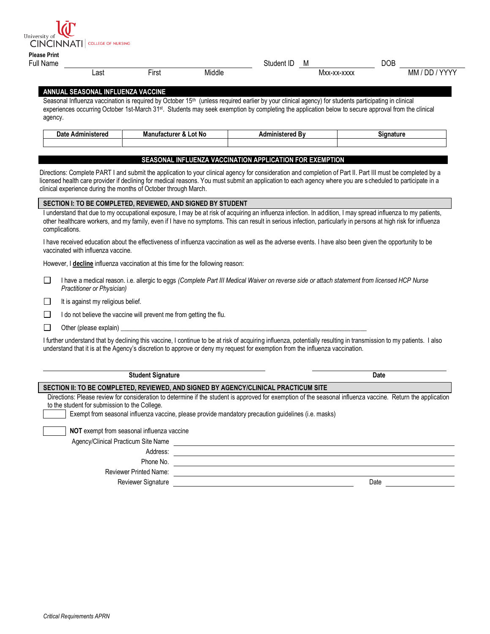University of **LACTION ATTI** COLLEGE OF NURSING

| --------------      |  |  |
|---------------------|--|--|
| <b>Please Print</b> |  |  |

| Full Name |      |                     |        | Student<br>ΙL | <b>IVI</b>                                                                    | <b>DOB</b> |                                 |
|-----------|------|---------------------|--------|---------------|-------------------------------------------------------------------------------|------------|---------------------------------|
|           | Last | $- \cdot$<br>'−irst | Middle |               | <b>VVVV</b><br>$\overline{\mathbf{v}}$<br><b>IVIXX</b><br><b>AAAA</b><br>۰۸ λ |            | DD<br><b>VVVVV</b><br><b>MM</b> |
|           |      |                     |        |               |                                                                               |            |                                 |

## **ANNUAL SEASONAL INFLUENZA VACCINE**

Seasonal Influenza vaccination is required by October 15<sup>th</sup> (unless required earlier by your clinical agency) for students participating in clinical experiences occurring October 1st-March 31st. Students may seek exemption by completing the application below to secure approval from the clinical agency.

| dministered<br>Date<br>nuı | Manufacturer<br>Lot No<br>$\sim$ | Administerer<br>. | sianature |
|----------------------------|----------------------------------|-------------------|-----------|
|                            |                                  |                   |           |

# **SEASONAL INFLUENZA VACCINATION APPLICATION FOR EXEMPTION**

 Directions: Complete PART I and submit the application to your clinical agency for consideration and completion of Part II. Part III must be completed by a licensed health care provider if declining for medical reasons. You must submit an application to each agency where you are s cheduled to participate in a clinical experience during the months of October through March.

### **SECTION I: TO BE COMPLETED, REVIEWED, AND SIGNED BY STUDENT**

I understand that due to my occupational exposure, I may be at risk of acquiring an influenza infection. In addition, I may spread influenza to my patients, other healthcare workers, and my family, even if I have no symptoms. This can result in serious infection, particularly in persons at high risk for influenza complications.

 I have received education about the effectiveness of influenza vaccination as well as the adverse events. I have also been given the opportunity to be vaccinated with influenza vaccine.

However, I **decline** influenza vaccination at this time for the following reason:

 I have a medical reason. i.e. allergic to eggs *(Complete Part III Medical Waiver on reverse side or attach statement from licensed HCP Nurse Practitioner or Physician)*  □

 It is against my religious belief. □

I do not believe the vaccine will prevent me from getting the flu.

 Other (please explain) \_\_\_\_\_\_\_\_\_\_\_\_\_\_\_\_\_\_\_\_\_\_\_\_\_\_\_\_\_\_\_\_\_\_\_\_\_\_\_\_\_\_\_\_\_\_\_\_\_\_\_\_\_\_\_\_\_\_\_\_\_\_\_\_\_\_\_\_\_\_\_\_\_\_\_ □

□

 I further understand that by declining this vaccine, I continue to be at risk of acquiring influenza, potentially resulting in transmission to my patients. I also understand that it is at the Agency's discretion to approve or deny my request for exemption from the influenza vaccination.

| <b>Student Signature</b>                      |                                                                                                                                                             | Date |
|-----------------------------------------------|-------------------------------------------------------------------------------------------------------------------------------------------------------------|------|
|                                               | SECTION II: TO BE COMPLETED, REVIEWED, AND SIGNED BY AGENCY/CLINICAL PRACTICUM SITE                                                                         |      |
| to the student for submission to the College. | Directions: Please review for consideration to determine if the student is approved for exemption of the seasonal influenza vaccine. Return the application |      |
|                                               | Exempt from seasonal influenza vaccine, please provide mandatory precaution guidelines (i.e. masks)                                                         |      |
| NOT exempt from seasonal influenza vaccine    |                                                                                                                                                             |      |
| Agency/Clinical Practicum Site Name           |                                                                                                                                                             |      |
| Address:                                      |                                                                                                                                                             |      |
| Phone No.                                     |                                                                                                                                                             |      |
| <b>Reviewer Printed Name:</b>                 |                                                                                                                                                             |      |
| Reviewer Signature                            |                                                                                                                                                             | Date |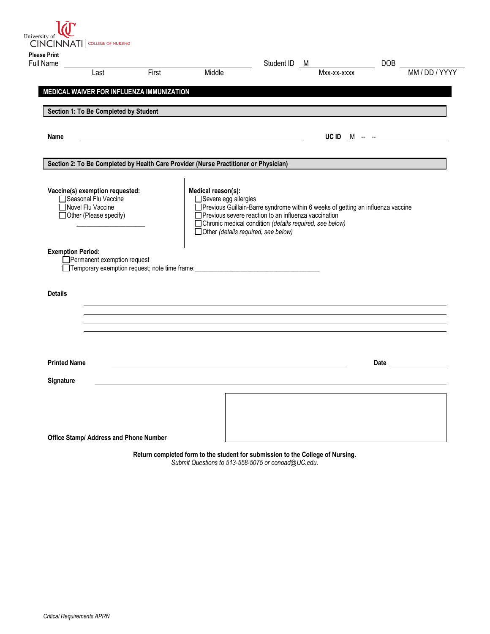University of **Latitude 1 COLLEGE OF NURSING** 

| Last                                                    |                             | First | Middle                                                                               |                                                                                                                                           | Mxx-xx-xxxx   | MM / DD / YYYY                          |
|---------------------------------------------------------|-----------------------------|-------|--------------------------------------------------------------------------------------|-------------------------------------------------------------------------------------------------------------------------------------------|---------------|-----------------------------------------|
| MEDICAL WAIVER FOR INFLUENZA IMMUNIZATION               |                             |       |                                                                                      |                                                                                                                                           |               |                                         |
| Section 1: To Be Completed by Student                   |                             |       |                                                                                      |                                                                                                                                           |               |                                         |
|                                                         |                             |       |                                                                                      |                                                                                                                                           |               |                                         |
| Name                                                    |                             |       |                                                                                      |                                                                                                                                           | UC ID $M = -$ |                                         |
|                                                         |                             |       | Section 2: To Be Completed by Health Care Provider (Nurse Practitioner or Physician) |                                                                                                                                           |               |                                         |
|                                                         |                             |       |                                                                                      |                                                                                                                                           |               |                                         |
| Vaccine(s) exemption requested:<br>Seasonal Flu Vaccine |                             |       | Medical reason(s):<br>□ Severe egg allergies                                         |                                                                                                                                           |               |                                         |
| □Novel Flu Vaccine                                      |                             |       |                                                                                      | □ Previous Guillain-Barre syndrome within 6 weeks of getting an influenza vaccine<br>Previous severe reaction to an influenza vaccination |               |                                         |
| □ Other (Please specify)                                |                             |       |                                                                                      | □ Chronic medical condition (details required, see below)                                                                                 |               |                                         |
|                                                         |                             |       |                                                                                      |                                                                                                                                           |               |                                         |
|                                                         |                             |       | □ Other (details required, see below)                                                |                                                                                                                                           |               |                                         |
|                                                         |                             |       |                                                                                      |                                                                                                                                           |               |                                         |
| <b>Exemption Period:</b>                                | Permanent exemption request |       |                                                                                      |                                                                                                                                           |               |                                         |
|                                                         |                             |       | □Temporary exemption request; note time frame: _________________________________     |                                                                                                                                           |               |                                         |
|                                                         |                             |       |                                                                                      |                                                                                                                                           |               |                                         |
| <b>Details</b>                                          |                             |       |                                                                                      |                                                                                                                                           |               |                                         |
|                                                         |                             |       |                                                                                      |                                                                                                                                           |               |                                         |
|                                                         |                             |       |                                                                                      |                                                                                                                                           |               |                                         |
|                                                         |                             |       |                                                                                      |                                                                                                                                           |               |                                         |
|                                                         |                             |       |                                                                                      |                                                                                                                                           |               |                                         |
| <b>Printed Name</b>                                     |                             |       |                                                                                      |                                                                                                                                           |               | Date <u>such a series of the series</u> |
|                                                         |                             |       |                                                                                      |                                                                                                                                           |               |                                         |
| Signature                                               |                             |       |                                                                                      |                                                                                                                                           |               |                                         |
|                                                         |                             |       |                                                                                      |                                                                                                                                           |               |                                         |
|                                                         |                             |       |                                                                                      |                                                                                                                                           |               |                                         |

 **Return completed form to the student for submission to the College of Nursing.**   *Submit Questions to 513-558-5075 or [conoad@UC.edu.](mailto:conoad@UC.edu)*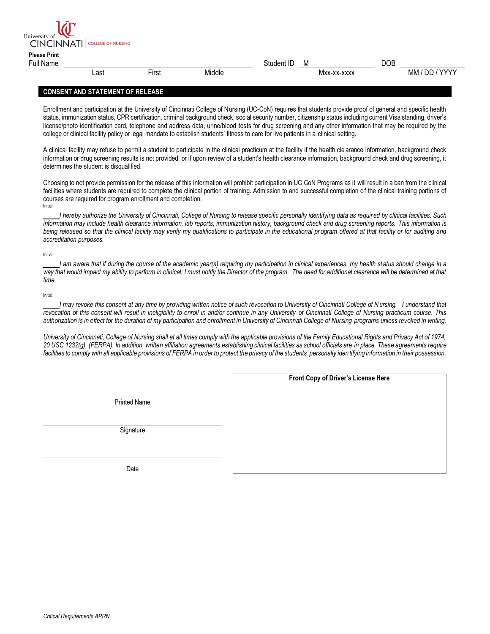| $\begin{array}{c} \begin{array}{c} \text{}\\ \text{}\\ \text{}\\ \end{array} \end{array}$ |      |       |        |            |             |     |                |
|-------------------------------------------------------------------------------------------|------|-------|--------|------------|-------------|-----|----------------|
| <b>Please Print</b><br>Full Name                                                          |      |       |        | Student ID | M           | DOB |                |
|                                                                                           | Last | First | Middle |            | Mxx-xx-xxxx |     | MM / DD / YYYY |

### **CONSENT AND STATEMENT OF RELEASE**

University of **Land College OF NURSING** 

 Enrollment and participation at the University of Cincinnati College of Nursing (UC-CoN) requires that students provide proof of general and specific health status, immunization status, CPR certification, criminal background check, social security number, citizenship status includi ng current Visa standing, driver's license/photo identification card, telephone and address data, urine/blood tests for drug screening and any other information that may be required by the college or clinical facility policy or legal mandate to establish students' fitness to care for live patients in a clinical setting.

 A clinical facility may refuse to permit a student to participate in the clinical practicum at the facility if the health cle arance information, background check information or drug screening results is not provided, or if upon review of a student's health clearance information, background check and drug screening, it determines the student is disqualified.

 Choosing to not provide permission for the release of this information will prohibit participation in UC CoN Programs as it will result in a ban from the clinical facilities where students are required to complete the clinical portion of training. Admission to and successful completion of the clinical training portions of courses are required for program enrollment and completion.<br>Initial

 *I hereby authorize the University of Cincinnati, College of Nursing to release specific personally identifying data as requir ed by clinical facilities. Such information may include health clearance information, lab reports, immunization history, background check and drug screening reports. This information is*  being released so that the clinical facility may verify my qualifications to participate in the educational program offered at that facility or for auditing and  *accreditation purposes.* 

#### Initial

 *I am aware that if during the course of the academic year(s) requiring my participation in clinical experiences, my health st atus should change in a*  way that would impact my ability to perform in clinical; I must notify the Director of the program. The need for additional clearance will be determined at that *time.* 

#### Initial

I may revoke this consent at any time by providing written notice of such revocation to University of Cincinnati College of N ursing. I understand that  *revocation of this consent will result in ineligibility to enroll in and/or continue in any University of Cincinnati College of Nursing practicum course. This authorization is in effect for the duration of my participation and enrollment in University of Cincinnati College of Nursing programs unless revoked in writing.* 

University of Cincinnati, College of Nursing shall at all times comply with the applicable provisions of the Family Educational Rights and Privacy Act of 1974,  *20 USC 1232(g), (FERPA). In addition, written affiliation agreements establishing clinical facilities as school officials are in place. These agreements require*  facilities to comply with all applicable provisions of FERPA in order to protect the privacy of the students' personally identifying information in their possession.

Printed Name

**Signature** 

 **Front Copy of Driver's License Here**

Date